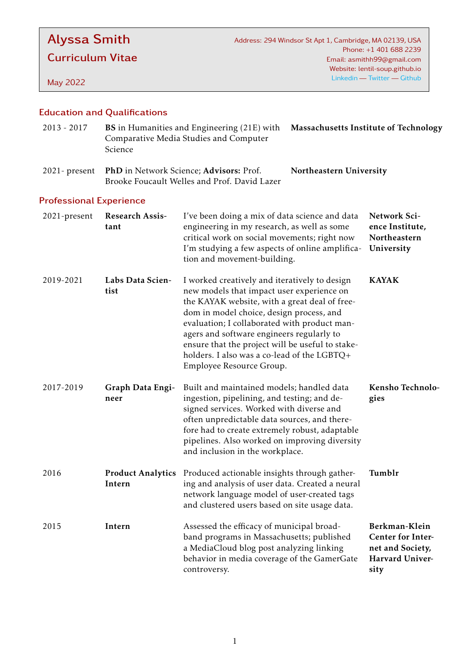# Alyssa Smith

Curriculum Vitae

May 2022

## Education and Qualifications

| $2013 - 2017$ | <b>BS</b> in Humanities and Engineering (21E) with <b>Massachusetts Institute of Technology</b> |  |
|---------------|-------------------------------------------------------------------------------------------------|--|
|               | Comparative Media Studies and Computer                                                          |  |
|               | Science                                                                                         |  |
|               |                                                                                                 |  |

2021- present PhD in Network Science; Advisors: Prof. Brooke Foucault Welles and Prof. David Lazer Northeastern University

## Professional Experience

| 2021-present | Research Assis-<br>tant            | I've been doing a mix of data science and data<br>engineering in my research, as well as some<br>critical work on social movements; right now<br>I'm studying a few aspects of online amplifica-<br>tion and movement-building.                                                                                                                                                                                     | Network Sci-<br>ence Institute,<br>Northeastern<br>University                            |
|--------------|------------------------------------|---------------------------------------------------------------------------------------------------------------------------------------------------------------------------------------------------------------------------------------------------------------------------------------------------------------------------------------------------------------------------------------------------------------------|------------------------------------------------------------------------------------------|
| 2019-2021    | Labs Data Scien-<br>tist           | I worked creatively and iteratively to design<br>new models that impact user experience on<br>the KAYAK website, with a great deal of free-<br>dom in model choice, design process, and<br>evaluation; I collaborated with product man-<br>agers and software engineers regularly to<br>ensure that the project will be useful to stake-<br>holders. I also was a co-lead of the LGBTQ+<br>Employee Resource Group. | <b>KAYAK</b>                                                                             |
| 2017-2019    | <b>Graph Data Engi-</b><br>neer    | Built and maintained models; handled data<br>ingestion, pipelining, and testing; and de-<br>signed services. Worked with diverse and<br>often unpredictable data sources, and there-<br>fore had to create extremely robust, adaptable<br>pipelines. Also worked on improving diversity<br>and inclusion in the workplace.                                                                                          | Kensho Technolo-<br>gies                                                                 |
| 2016         | <b>Product Analytics</b><br>Intern | Produced actionable insights through gather-<br>ing and analysis of user data. Created a neural<br>network language model of user-created tags<br>and clustered users based on site usage data.                                                                                                                                                                                                                     | Tumblr                                                                                   |
| 2015         | Intern                             | Assessed the efficacy of municipal broad-<br>band programs in Massachusetts; published<br>a MediaCloud blog post analyzing linking<br>behavior in media coverage of the GamerGate<br>controversy.                                                                                                                                                                                                                   | Berkman-Klein<br><b>Center for Inter-</b><br>net and Society,<br>Harvard Univer-<br>sity |